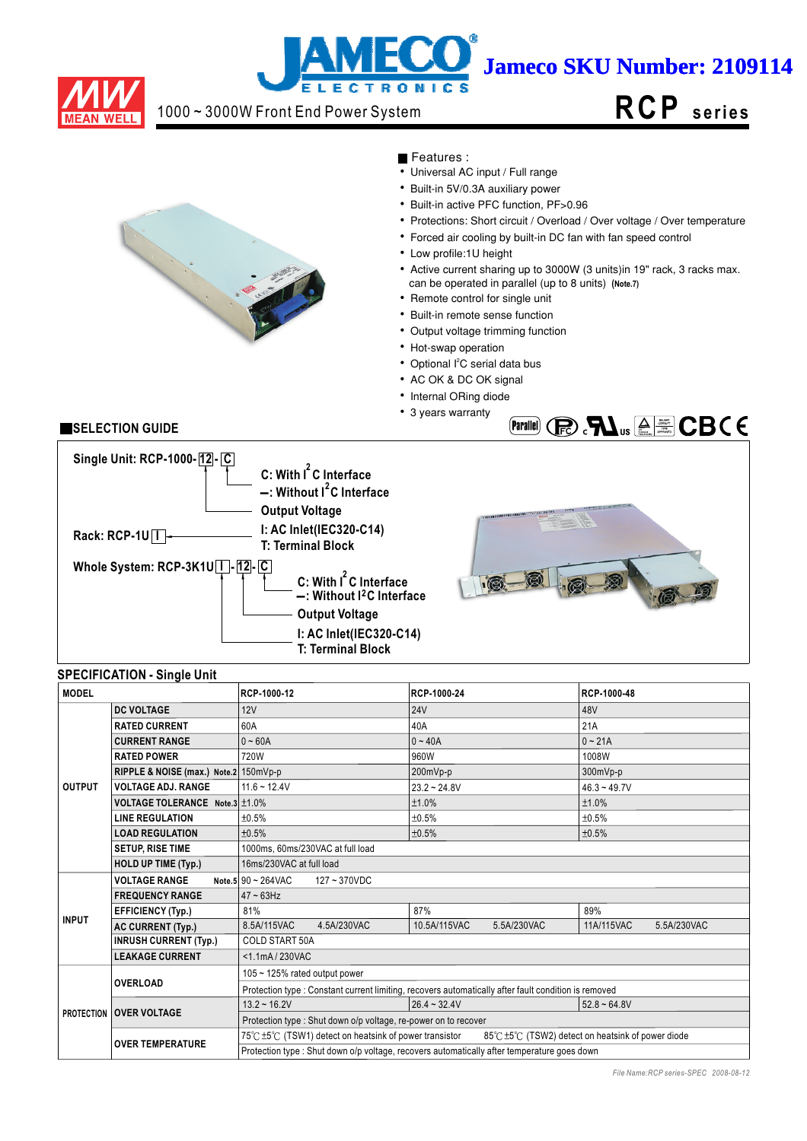

# j **Jameco SKU Number: 2109114 LECTRONIC**

## 1000 ~ 3000W Front End Power System

# **RCP s e ri e s**



Features :

- $\overline{\bullet}$  Universal AC input / Full range
- Built-in 5V/0.3A auxiliary power
- Built-in active PFC function, PF>0.96
- Protections: Short circuit / Overload / Over voltage / Over temperature
- Forced air cooling by built-in DC fan with fan speed control
- Low profile:1U height
- Active current sharing up to 3000W (3 units)in 19" rack, 3 racks max.
- can be operated in parallel (up to 8 units) **(Note.7)**
- Remote control for single unit
- Built-in remote sense function
- Output voltage trimming function
- Hot-swap operation
- Optional l<sup>2</sup>C serial data bus
- AC OK & DC OK signal
- Internal ORing diode
- 3 years warranty

## **SELECTION GUIDE**



## **SPECIFICATION - Single Unit**

| <b>MODEL</b>  |                                       | RCP-1000-12                                                                                 | RCP-1000-24                                                                                          | RCP-1000-48                                     |  |  |
|---------------|---------------------------------------|---------------------------------------------------------------------------------------------|------------------------------------------------------------------------------------------------------|-------------------------------------------------|--|--|
|               | <b>DC VOLTAGE</b>                     | 12V                                                                                         | <b>24V</b>                                                                                           | 48V                                             |  |  |
|               | <b>RATED CURRENT</b>                  | 60A                                                                                         | 40A                                                                                                  | 21A                                             |  |  |
|               | <b>CURRENT RANGE</b>                  | $0 - 60A$                                                                                   | $0 - 40A$                                                                                            | $0 - 21A$                                       |  |  |
|               | <b>RATED POWER</b>                    | 720W                                                                                        | 960W                                                                                                 | 1008W                                           |  |  |
|               | RIPPLE & NOISE (max.) Note.2 150mVp-p |                                                                                             | 200mVp-p                                                                                             | 300mVp-p                                        |  |  |
| <b>OUTPUT</b> | <b>VOLTAGE ADJ. RANGE</b>             | $11.6 - 12.4V$                                                                              | $23.2 - 24.8V$                                                                                       | $46.3 - 49.7V$                                  |  |  |
|               | VOLTAGE TOLERANCE Note.3 ±1.0%        |                                                                                             | ±1.0%                                                                                                | ±1.0%                                           |  |  |
|               | <b>LINE REGULATION</b>                | ±0.5%                                                                                       | ±0.5%                                                                                                | ±0.5%                                           |  |  |
|               | <b>LOAD REGULATION</b>                | ±0.5%                                                                                       | ±0.5%                                                                                                | ±0.5%                                           |  |  |
|               | <b>SETUP, RISE TIME</b>               | 1000ms, 60ms/230VAC at full load                                                            |                                                                                                      |                                                 |  |  |
|               | <b>HOLD UP TIME (Typ.)</b>            | 16ms/230VAC at full load                                                                    |                                                                                                      |                                                 |  |  |
|               | <b>VOLTAGE RANGE</b>                  | Note.5 90 ~ 264VAC<br>127~370VDC                                                            |                                                                                                      |                                                 |  |  |
|               | <b>FREQUENCY RANGE</b>                | $47 - 63$ Hz                                                                                |                                                                                                      |                                                 |  |  |
|               | <b>EFFICIENCY (Typ.)</b>              | 81%                                                                                         | 87%                                                                                                  | 89%                                             |  |  |
| <b>INPUT</b>  | <b>AC CURRENT (Typ.)</b>              | 8.5A/115VAC<br>4.5A/230VAC                                                                  | 10.5A/115VAC<br>5.5A/230VAC                                                                          | 11A/115VAC<br>5.5A/230VAC                       |  |  |
|               | <b>INRUSH CURRENT (Typ.)</b>          | <b>COLD START 50A</b>                                                                       |                                                                                                      |                                                 |  |  |
|               | <b>LEAKAGE CURRENT</b>                | <1.1mA/230VAC                                                                               |                                                                                                      |                                                 |  |  |
|               |                                       | 105 ~ 125% rated output power                                                               |                                                                                                      |                                                 |  |  |
|               | <b>OVERLOAD</b>                       |                                                                                             | Protection type : Constant current limiting, recovers automatically after fault condition is removed |                                                 |  |  |
|               |                                       | $13.2 \div 16.2V$                                                                           | $26.4 - 32.4V$                                                                                       | $52.8 - 64.8V$                                  |  |  |
|               | <b>PROTECTION OVER VOLTAGE</b>        | Protection type: Shut down o/p voltage, re-power on to recover                              |                                                                                                      |                                                 |  |  |
|               | <b>OVER TEMPERATURE</b>               | 75℃±5℃ (TSW1) detect on heatsink of power transistor                                        |                                                                                                      | 85℃±5℃ (TSW2) detect on heatsink of power diode |  |  |
|               |                                       | Protection type : Shut down o/p voltage, recovers automatically after temperature goes down |                                                                                                      |                                                 |  |  |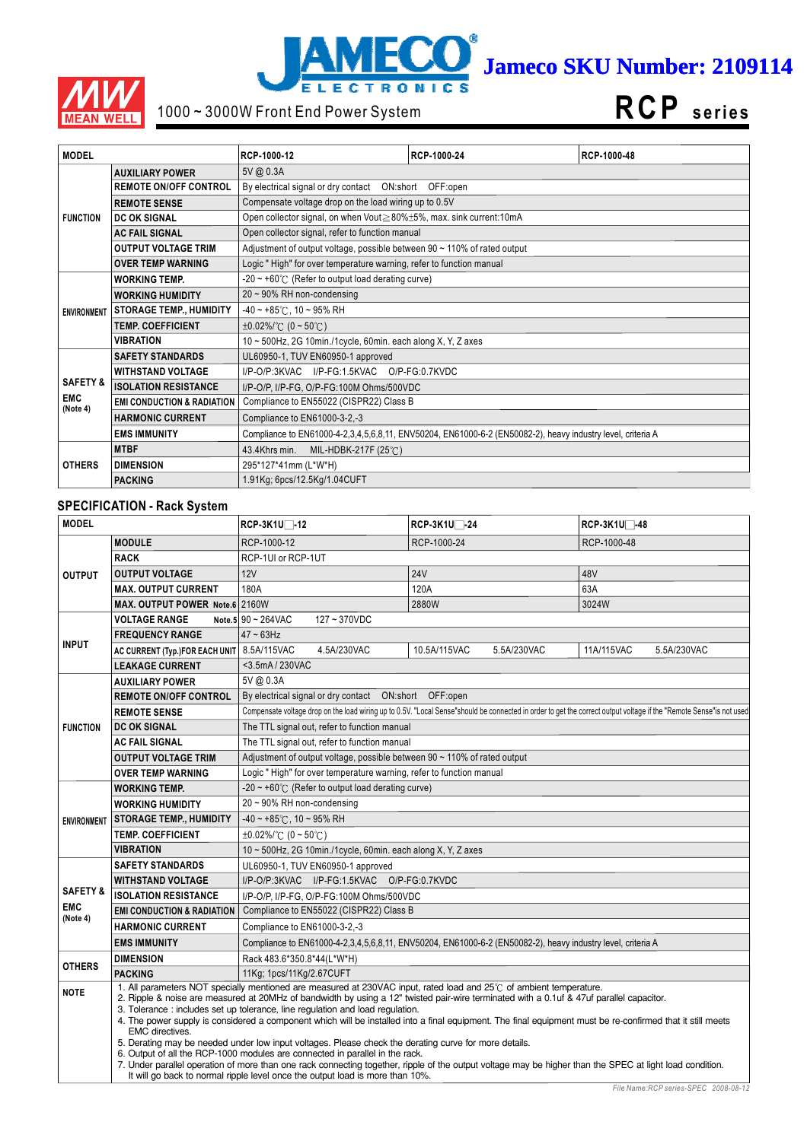



# 1000 ~ 3000W Front End Power System

**RCP s e ri e s**

| <b>MODEL</b>           |                                       | RCP-1000-12                                                                    | RCP-1000-24                                                                                                 | RCP-1000-48 |  |  |
|------------------------|---------------------------------------|--------------------------------------------------------------------------------|-------------------------------------------------------------------------------------------------------------|-------------|--|--|
|                        | <b>AUXILIARY POWER</b>                | 5V @ 0.3A                                                                      |                                                                                                             |             |  |  |
|                        | <b>REMOTE ON/OFF CONTROL</b>          | By electrical signal or dry contact  ON:short  OFF:open                        |                                                                                                             |             |  |  |
|                        | <b>REMOTE SENSE</b>                   | Compensate voltage drop on the load wiring up to 0.5V                          |                                                                                                             |             |  |  |
| <b>FUNCTION</b>        | <b>DC OK SIGNAL</b>                   | Open collector signal, on when Vout≥80%±5%, max. sink current:10mA             |                                                                                                             |             |  |  |
|                        | <b>AC FAIL SIGNAL</b>                 | Open collector signal, refer to function manual                                |                                                                                                             |             |  |  |
|                        | <b>OUTPUT VOLTAGE TRIM</b>            | Adjustment of output voltage, possible between $90 \sim 110\%$ of rated output |                                                                                                             |             |  |  |
|                        | <b>OVER TEMP WARNING</b>              | Logic "High" for over temperature warning, refer to function manual            |                                                                                                             |             |  |  |
|                        | <b>WORKING TEMP.</b>                  | $-20 \sim +60^{\circ}$ (Refer to output load derating curve)                   |                                                                                                             |             |  |  |
|                        | <b>WORKING HUMIDITY</b>               | $20 \sim 90\%$ RH non-condensing                                               |                                                                                                             |             |  |  |
| <b>ENVIRONMENT</b>     | <b>STORAGE TEMP., HUMIDITY</b>        | $-40 \sim +85^{\circ}$ C, 10 ~ 95% RH                                          |                                                                                                             |             |  |  |
|                        | <b>TEMP. COEFFICIENT</b>              | $\pm 0.02\%$ (0 ~ 50°C)                                                        |                                                                                                             |             |  |  |
|                        | <b>VIBRATION</b>                      | 10 ~ 500Hz, 2G 10min./1cycle, 60min. each along X, Y, Z axes                   |                                                                                                             |             |  |  |
|                        | <b>SAFETY STANDARDS</b>               | UL60950-1, TUV EN60950-1 approved                                              |                                                                                                             |             |  |  |
|                        | <b>WITHSTAND VOLTAGE</b>              | I/P-O/P:3KVAC I/P-FG:1.5KVAC O/P-FG:0.7KVDC                                    |                                                                                                             |             |  |  |
| <b>SAFETY &amp;</b>    | <b>ISOLATION RESISTANCE</b>           | I/P-O/P, I/P-FG, O/P-FG:100M Ohms/500VDC                                       |                                                                                                             |             |  |  |
| <b>EMC</b><br>(Note 4) | <b>EMI CONDUCTION &amp; RADIATION</b> | Compliance to EN55022 (CISPR22) Class B                                        |                                                                                                             |             |  |  |
|                        | <b>HARMONIC CURRENT</b>               | Compliance to EN61000-3-2,-3                                                   |                                                                                                             |             |  |  |
|                        | <b>EMS IMMUNITY</b>                   |                                                                                | Compliance to EN61000-4-2,3,4,5,6,8,11, ENV50204, EN61000-6-2 (EN50082-2), heavy industry level, criteria A |             |  |  |
|                        | <b>MTBF</b>                           | MIL-HDBK-217F (25℃)<br>43.4Khrs min.                                           |                                                                                                             |             |  |  |
| <b>OTHERS</b>          | <b>DIMENSION</b>                      | 295*127*41mm (L*W*H)                                                           |                                                                                                             |             |  |  |
|                        | <b>PACKING</b>                        | 1.91Kg; 6pcs/12.5Kg/1.04CUFT                                                   |                                                                                                             |             |  |  |

## **SPECIFICATION - Rack System**

| <b>MODEL</b>           |                                       | RCP-3K1U□-12                                                                                                                                                                                                                                                                                                                                                                                                                                                                                                                                                                                                                                                                                                                                                                                                                                                                                                                                         | RCP-3K1U□-24                                                                                                | RCP-3K1U <sup>-48</sup>                                                                                                                                             |  |  |  |
|------------------------|---------------------------------------|------------------------------------------------------------------------------------------------------------------------------------------------------------------------------------------------------------------------------------------------------------------------------------------------------------------------------------------------------------------------------------------------------------------------------------------------------------------------------------------------------------------------------------------------------------------------------------------------------------------------------------------------------------------------------------------------------------------------------------------------------------------------------------------------------------------------------------------------------------------------------------------------------------------------------------------------------|-------------------------------------------------------------------------------------------------------------|---------------------------------------------------------------------------------------------------------------------------------------------------------------------|--|--|--|
|                        | <b>MODULE</b>                         | RCP-1000-12                                                                                                                                                                                                                                                                                                                                                                                                                                                                                                                                                                                                                                                                                                                                                                                                                                                                                                                                          | RCP-1000-24                                                                                                 | RCP-1000-48                                                                                                                                                         |  |  |  |
|                        | <b>RACK</b>                           | RCP-1UI or RCP-1UT                                                                                                                                                                                                                                                                                                                                                                                                                                                                                                                                                                                                                                                                                                                                                                                                                                                                                                                                   |                                                                                                             |                                                                                                                                                                     |  |  |  |
| <b>OUTPUT</b>          | <b>OUTPUT VOLTAGE</b>                 | 12V                                                                                                                                                                                                                                                                                                                                                                                                                                                                                                                                                                                                                                                                                                                                                                                                                                                                                                                                                  | <b>24V</b>                                                                                                  | 48V                                                                                                                                                                 |  |  |  |
|                        | <b>MAX. OUTPUT CURRENT</b>            | 180A                                                                                                                                                                                                                                                                                                                                                                                                                                                                                                                                                                                                                                                                                                                                                                                                                                                                                                                                                 | 120A                                                                                                        | 63A                                                                                                                                                                 |  |  |  |
|                        | MAX. OUTPUT POWER Note.6 2160W        |                                                                                                                                                                                                                                                                                                                                                                                                                                                                                                                                                                                                                                                                                                                                                                                                                                                                                                                                                      | 2880W                                                                                                       | 3024W                                                                                                                                                               |  |  |  |
|                        | <b>VOLTAGE RANGE</b>                  | Note.5 $90 \sim 264 \text{VAC}$<br>127~370VDC                                                                                                                                                                                                                                                                                                                                                                                                                                                                                                                                                                                                                                                                                                                                                                                                                                                                                                        |                                                                                                             |                                                                                                                                                                     |  |  |  |
|                        | <b>FREQUENCY RANGE</b>                | $47 \sim 63$ Hz                                                                                                                                                                                                                                                                                                                                                                                                                                                                                                                                                                                                                                                                                                                                                                                                                                                                                                                                      |                                                                                                             |                                                                                                                                                                     |  |  |  |
| <b>INPUT</b>           | AC CURRENT (Typ.)FOR EACH UNIT        | 8.5A/115VAC<br>4.5A/230VAC                                                                                                                                                                                                                                                                                                                                                                                                                                                                                                                                                                                                                                                                                                                                                                                                                                                                                                                           | 10.5A/115VAC<br>5.5A/230VAC                                                                                 | 11A/115VAC<br>5.5A/230VAC                                                                                                                                           |  |  |  |
|                        | <b>LEAKAGE CURRENT</b>                | <3.5mA / 230VAC                                                                                                                                                                                                                                                                                                                                                                                                                                                                                                                                                                                                                                                                                                                                                                                                                                                                                                                                      |                                                                                                             |                                                                                                                                                                     |  |  |  |
|                        | <b>AUXILIARY POWER</b>                | 5V @ 0.3A                                                                                                                                                                                                                                                                                                                                                                                                                                                                                                                                                                                                                                                                                                                                                                                                                                                                                                                                            |                                                                                                             |                                                                                                                                                                     |  |  |  |
|                        | <b>REMOTE ON/OFF CONTROL</b>          | By electrical signal or dry contact  ON:short  OFF:open                                                                                                                                                                                                                                                                                                                                                                                                                                                                                                                                                                                                                                                                                                                                                                                                                                                                                              |                                                                                                             |                                                                                                                                                                     |  |  |  |
|                        | <b>REMOTE SENSE</b>                   |                                                                                                                                                                                                                                                                                                                                                                                                                                                                                                                                                                                                                                                                                                                                                                                                                                                                                                                                                      |                                                                                                             | Compensate voltage drop on the load wiring up to 0.5V. "Local Sense"should be connected in order to get the correct output voltage if the "Remote Sense"is not used |  |  |  |
| <b>FUNCTION</b>        | <b>DC OK SIGNAL</b>                   |                                                                                                                                                                                                                                                                                                                                                                                                                                                                                                                                                                                                                                                                                                                                                                                                                                                                                                                                                      | The TTL signal out, refer to function manual                                                                |                                                                                                                                                                     |  |  |  |
|                        | <b>AC FAIL SIGNAL</b>                 | The TTL signal out, refer to function manual                                                                                                                                                                                                                                                                                                                                                                                                                                                                                                                                                                                                                                                                                                                                                                                                                                                                                                         |                                                                                                             |                                                                                                                                                                     |  |  |  |
|                        | <b>OUTPUT VOLTAGE TRIM</b>            | Adjustment of output voltage, possible between 90 ~ 110% of rated output                                                                                                                                                                                                                                                                                                                                                                                                                                                                                                                                                                                                                                                                                                                                                                                                                                                                             |                                                                                                             |                                                                                                                                                                     |  |  |  |
|                        | <b>OVER TEMP WARNING</b>              | Logic "High" for over temperature warning, refer to function manual                                                                                                                                                                                                                                                                                                                                                                                                                                                                                                                                                                                                                                                                                                                                                                                                                                                                                  |                                                                                                             |                                                                                                                                                                     |  |  |  |
|                        | <b>WORKING TEMP.</b>                  | $-20 \sim +60^{\circ}$ (Refer to output load derating curve)                                                                                                                                                                                                                                                                                                                                                                                                                                                                                                                                                                                                                                                                                                                                                                                                                                                                                         |                                                                                                             |                                                                                                                                                                     |  |  |  |
|                        | <b>WORKING HUMIDITY</b>               | 20~90% RH non-condensing                                                                                                                                                                                                                                                                                                                                                                                                                                                                                                                                                                                                                                                                                                                                                                                                                                                                                                                             |                                                                                                             |                                                                                                                                                                     |  |  |  |
| <b>ENVIRONMENT</b>     | <b>STORAGE TEMP., HUMIDITY</b>        | $-40 \sim +85^{\circ}$ C, 10 ~ 95% RH                                                                                                                                                                                                                                                                                                                                                                                                                                                                                                                                                                                                                                                                                                                                                                                                                                                                                                                |                                                                                                             |                                                                                                                                                                     |  |  |  |
|                        | <b>TEMP. COEFFICIENT</b>              | $\pm 0.02\%$ /°C (0 ~ 50°C)                                                                                                                                                                                                                                                                                                                                                                                                                                                                                                                                                                                                                                                                                                                                                                                                                                                                                                                          |                                                                                                             |                                                                                                                                                                     |  |  |  |
|                        | <b>VIBRATION</b>                      | 10 ~ 500Hz, 2G 10min./1cycle, 60min. each along X, Y, Z axes                                                                                                                                                                                                                                                                                                                                                                                                                                                                                                                                                                                                                                                                                                                                                                                                                                                                                         |                                                                                                             |                                                                                                                                                                     |  |  |  |
|                        | <b>SAFETY STANDARDS</b>               | UL60950-1, TUV EN60950-1 approved                                                                                                                                                                                                                                                                                                                                                                                                                                                                                                                                                                                                                                                                                                                                                                                                                                                                                                                    |                                                                                                             |                                                                                                                                                                     |  |  |  |
|                        | <b>WITHSTAND VOLTAGE</b>              | I/P-O/P:3KVAC I/P-FG:1.5KVAC O/P-FG:0.7KVDC                                                                                                                                                                                                                                                                                                                                                                                                                                                                                                                                                                                                                                                                                                                                                                                                                                                                                                          |                                                                                                             |                                                                                                                                                                     |  |  |  |
| <b>SAFETY &amp;</b>    | <b>ISOLATION RESISTANCE</b>           | I/P-O/P, I/P-FG, O/P-FG:100M Ohms/500VDC                                                                                                                                                                                                                                                                                                                                                                                                                                                                                                                                                                                                                                                                                                                                                                                                                                                                                                             |                                                                                                             |                                                                                                                                                                     |  |  |  |
| <b>EMC</b><br>(Note 4) | <b>EMI CONDUCTION &amp; RADIATION</b> | Compliance to EN55022 (CISPR22) Class B                                                                                                                                                                                                                                                                                                                                                                                                                                                                                                                                                                                                                                                                                                                                                                                                                                                                                                              |                                                                                                             |                                                                                                                                                                     |  |  |  |
|                        | <b>HARMONIC CURRENT</b>               |                                                                                                                                                                                                                                                                                                                                                                                                                                                                                                                                                                                                                                                                                                                                                                                                                                                                                                                                                      | Compliance to EN61000-3-2,-3                                                                                |                                                                                                                                                                     |  |  |  |
|                        | <b>EMS IMMUNITY</b>                   |                                                                                                                                                                                                                                                                                                                                                                                                                                                                                                                                                                                                                                                                                                                                                                                                                                                                                                                                                      | Compliance to EN61000-4-2,3,4,5,6,8,11, ENV50204, EN61000-6-2 (EN50082-2), heavy industry level, criteria A |                                                                                                                                                                     |  |  |  |
| <b>OTHERS</b>          | <b>DIMENSION</b>                      | Rack 483.6*350.8*44(L*W*H)                                                                                                                                                                                                                                                                                                                                                                                                                                                                                                                                                                                                                                                                                                                                                                                                                                                                                                                           |                                                                                                             |                                                                                                                                                                     |  |  |  |
|                        | <b>PACKING</b>                        | 11Kg; 1pcs/11Kg/2.67CUFT                                                                                                                                                                                                                                                                                                                                                                                                                                                                                                                                                                                                                                                                                                                                                                                                                                                                                                                             |                                                                                                             |                                                                                                                                                                     |  |  |  |
| <b>NOTE</b>            | <b>EMC</b> directives.                | 1. All parameters NOT specially mentioned are measured at 230VAC input, rated load and 25°C of ambient temperature.<br>2. Ripple & noise are measured at 20MHz of bandwidth by using a 12" twisted pair-wire terminated with a 0.1uf & 47uf parallel capacitor.<br>3. Tolerance: includes set up tolerance, line regulation and load regulation.<br>4. The power supply is considered a component which will be installed into a final equipment. The final equipment must be re-confirmed that it still meets<br>5. Derating may be needed under low input voltages. Please check the derating curve for more details.<br>6. Output of all the RCP-1000 modules are connected in parallel in the rack.<br>7. Under parallel operation of more than one rack connecting together, ripple of the output voltage may be higher than the SPEC at light load condition.<br>It will go back to normal ripple level once the output load is more than 10%. |                                                                                                             |                                                                                                                                                                     |  |  |  |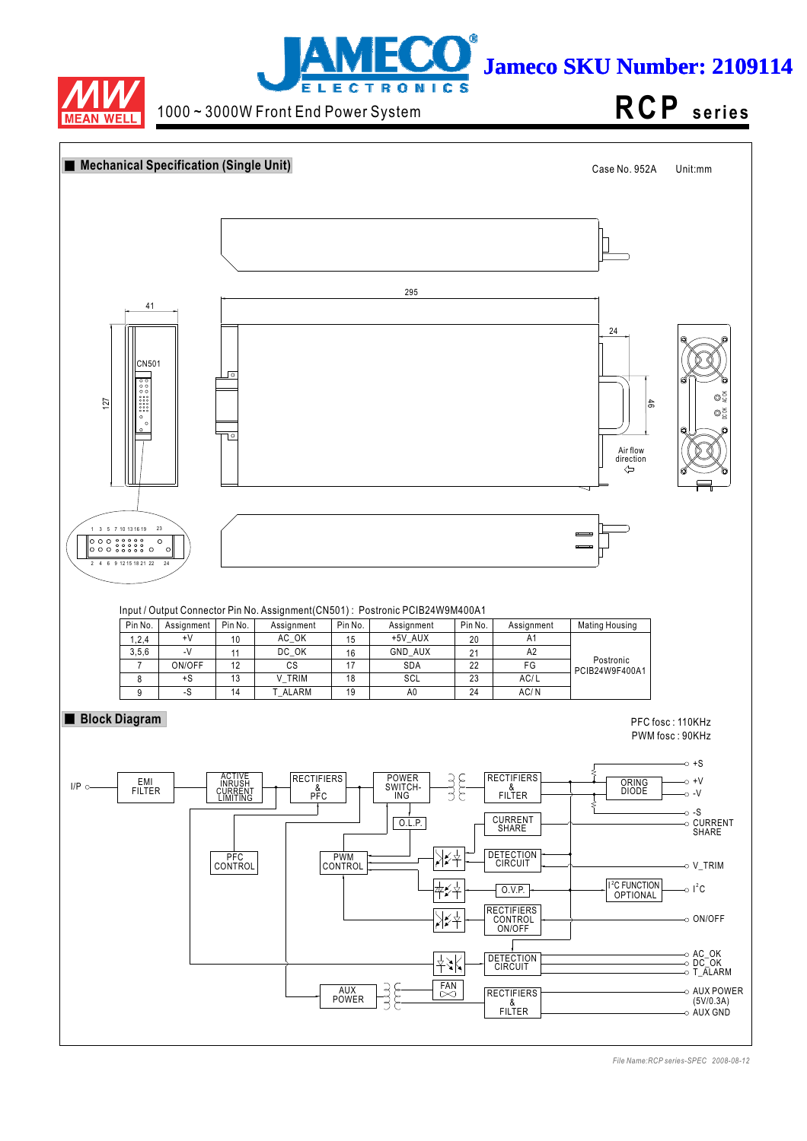



1000 ~ 3000W Front End Power System

**RCP s e ri e s**

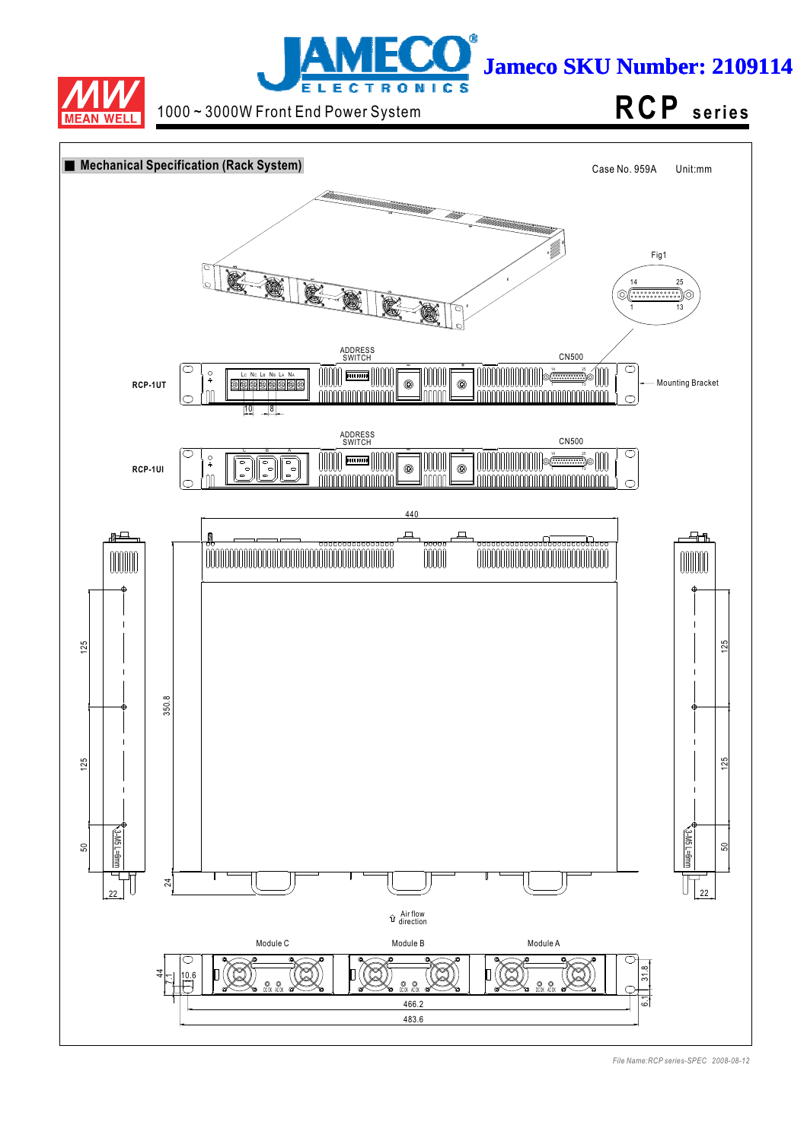



1000 ~ 3000W Front End Power System **RCP** series

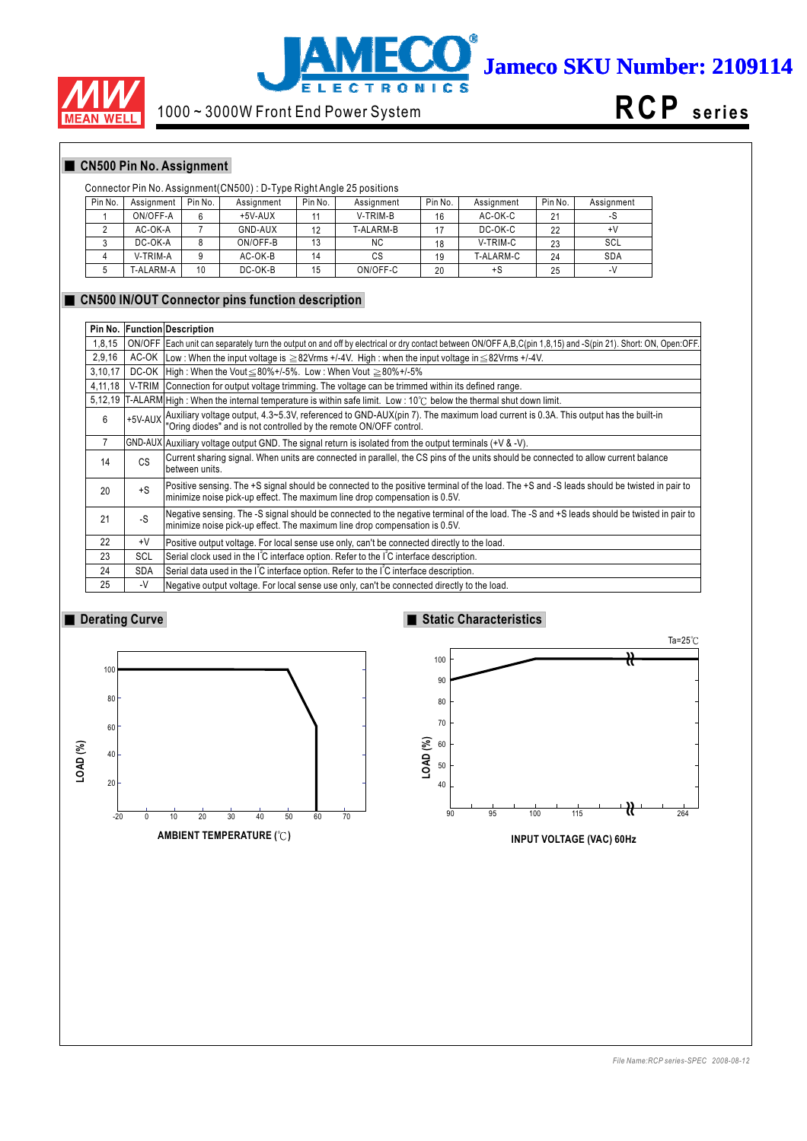



# 1000 ~ 3000W Front End Power System



## **CN500 Pin No. Assignment**

## Connector Pin No. Assignment(CN500) : D-Type Right Angle 25 positions

| Pin No. | Assignment | Pin No. | Assignment | Pin No. | Assignment | Pin No. | Assianment | Pin No. | Assignment |
|---------|------------|---------|------------|---------|------------|---------|------------|---------|------------|
|         | ON/OFF-A   | 6       | $+5V-AUX$  |         | V-TRIM-B   | 16      | AC-OK-C    | 21      | -S         |
|         | AC-OK-A    |         | GND-AUX    | 12      | T-ALARM-B  |         | DC-OK-C    | 22      | +٧         |
|         | DC-OK-A    |         | ON/OFF-B   | 13      | <b>NC</b>  | 18      | V-TRIM-C   | 23      | SCL        |
|         | V-TRIM-A   |         | AC-OK-B    | 14      | СS         | 19      | T-ALARM-C  | 24      | <b>SDA</b> |
|         | T-ALARM-A  | 10      | DC-OK-B    | 15      | ON/OFF-C   | 20      | +S         | 25      | $-V$       |

#### **CN500 IN/OUT Connector pins function description**

| Pin No. |            | <b>Function Description</b>                                                                                                                                                                                              |
|---------|------------|--------------------------------------------------------------------------------------------------------------------------------------------------------------------------------------------------------------------------|
| 1,8,15  |            | ON/OFF Each unit can separately turn the output on and off by electrical or dry contact between ON/OFF A, B, C(pin 1,8,15) and -S(pin 21). Short: ON, Open:OFF.                                                          |
| 2,9,16  |            | AC-OK Low: When the input voltage is $\geq$ 82Vrms +/-4V. High: when the input voltage in $\leq$ 82Vrms +/-4V.                                                                                                           |
| 3,10,17 |            | DC-OK   High: When the Vout $\leq 80\% + 1.5\%$ . Low: When Vout $\geq 80\% + 1.5\%$                                                                                                                                     |
| 4,11,18 |            | V-TRIM Connection for output voltage trimming. The voltage can be trimmed within its defined range.                                                                                                                      |
| 5,12,19 |            | $[T-ALARM]$ High: When the internal temperature is within safe limit. Low: 10°C below the thermal shut down limit.                                                                                                       |
| 6       |            | +5V-AUX Auxiliary voltage output, 4.3~5.3V, referenced to GND-AUX(pin 7). The maximum load current is 0.3A. This output has the built-in<br>"Oring diodes" and is not controlled by the remote ON/OFF control.           |
| 7       |            | $ GND-AUX $ Auxiliary voltage output GND. The signal return is isolated from the output terminals (+V & -V).                                                                                                             |
| 14      | CS         | Current sharing signal. When units are connected in parallel, the CS pins of the units should be connected to allow current balance<br>between units.                                                                    |
| 20      | $+S$       | Positive sensing. The +S signal should be connected to the positive terminal of the load. The +S and -S leads should be twisted in pair to<br>minimize noise pick-up effect. The maximum line drop compensation is 0.5V. |
| 21      | $-S$       | Negative sensing. The -S signal should be connected to the negative terminal of the load. The -S and +S leads should be twisted in pair to<br>minimize noise pick-up effect. The maximum line drop compensation is 0.5V. |
| 22      | $+V$       | Positive output voltage. For local sense use only, can't be connected directly to the load.                                                                                                                              |
| 23      | <b>SCL</b> | Serial clock used in the IC interface option. Refer to the IC interface description.                                                                                                                                     |
| 24      | <b>SDA</b> | Serial data used in the IC interface option. Refer to the IC interface description.                                                                                                                                      |
| 25      | $-V$       | Negative output voltage. For local sense use only, can't be connected directly to the load.                                                                                                                              |

## **Derating Curve**



## **Static Characteristics**



**INPUT VOLTAGE (VAC) 60Hz**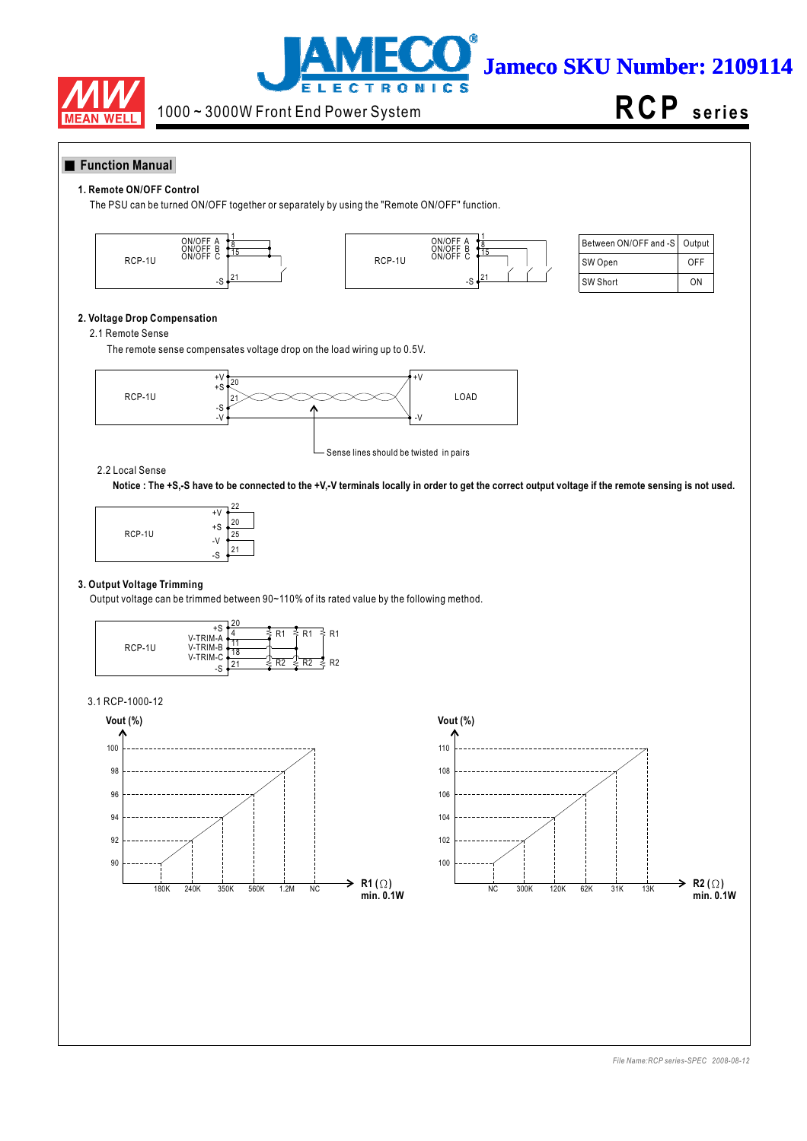



**RCP s e ri e s**

## **Function Manual**

#### **1. Remote ON/OFF Control**

The PSU can be turned ON/OFF together or separately by using the "Remote ON/OFF" function.





| Between ON/OFF and -S   Output |     |
|--------------------------------|-----|
| SW Open                        | OFF |
| SW Short                       | ΩN  |

## **2. Voltage Drop Compensation**

#### 2.1 Remote Sense

The remote sense compensates voltage drop on the load wiring up to 0.5V.



#### 2.2 Local Sense

**Notice : The +S,-S have to be connected to the +V,-V terminals locally in order to get the correct output voltage if the remote sensing is not used.**



#### **3. Output Voltage Trimming**

Output voltage can be trimmed between 90~110% of its rated value by the following method.



#### 3.1 RCP-1000-12



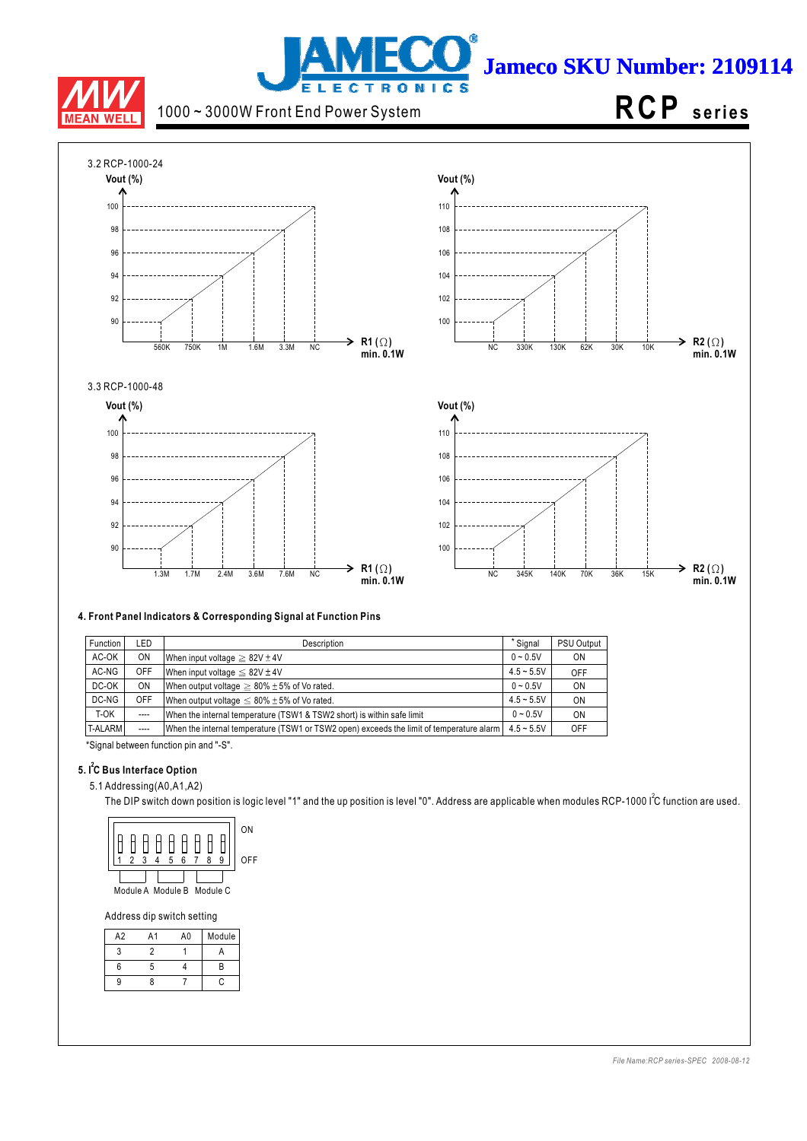

# j **Jameco SKU Number: 2109114 LECTRONICS**

1000 ~ 3000W Front End Power System

# **RCP s e ri e s**



#### **4. Front Panel Indicators & Corresponding Signal at Function Pins**

| Function       | LED       | Description                                                                              | * Signal     | <b>PSU Output</b> |
|----------------|-----------|------------------------------------------------------------------------------------------|--------------|-------------------|
| AC-OK          | <b>ON</b> | When input voltage $\geq 82V \pm 4V$                                                     | $0 - 0.5V$   | ON                |
| AC-NG          | OFF       | When input voltage $\leq 82V \pm 4V$                                                     | $4.5 - 5.5V$ | OFF               |
| DC-OK          | <b>ON</b> | When output voltage $\geq 80\% \pm 5\%$ of Vo rated.                                     | $0 - 0.5V$   | 0N                |
| DC-NG          | OFF       | When output voltage $\leq 80\% \pm 5\%$ of Vo rated.                                     | $4.5 - 5.5V$ | ON                |
| T-OK           | $---$     | When the internal temperature (TSW1 & TSW2 short) is within safe limit                   | $0 - 0.5V$   | ON                |
| <b>T-ALARM</b> | $---$     | When the internal temperature (TSW1 or TSW2 open) exceeds the limit of temperature alarm | $4.5 - 5.5V$ | OFF               |
|                |           |                                                                                          |              |                   |

\*Signal between function pin and "-S".

## **5. I C Bus Interface Option 2**

5.1 Addressing(A0,A1,A2)

The DIP switch down position is logic level "1" and the up position is level "0". Address are applicable when modules RCP-1000 I<sup>2</sup>C function are used.



Address dip switch setting

| A2 | A1 | A0 | Module |
|----|----|----|--------|
|    |    |    |        |
| 6  | ∽  |    | R      |
| q  |    |    | c      |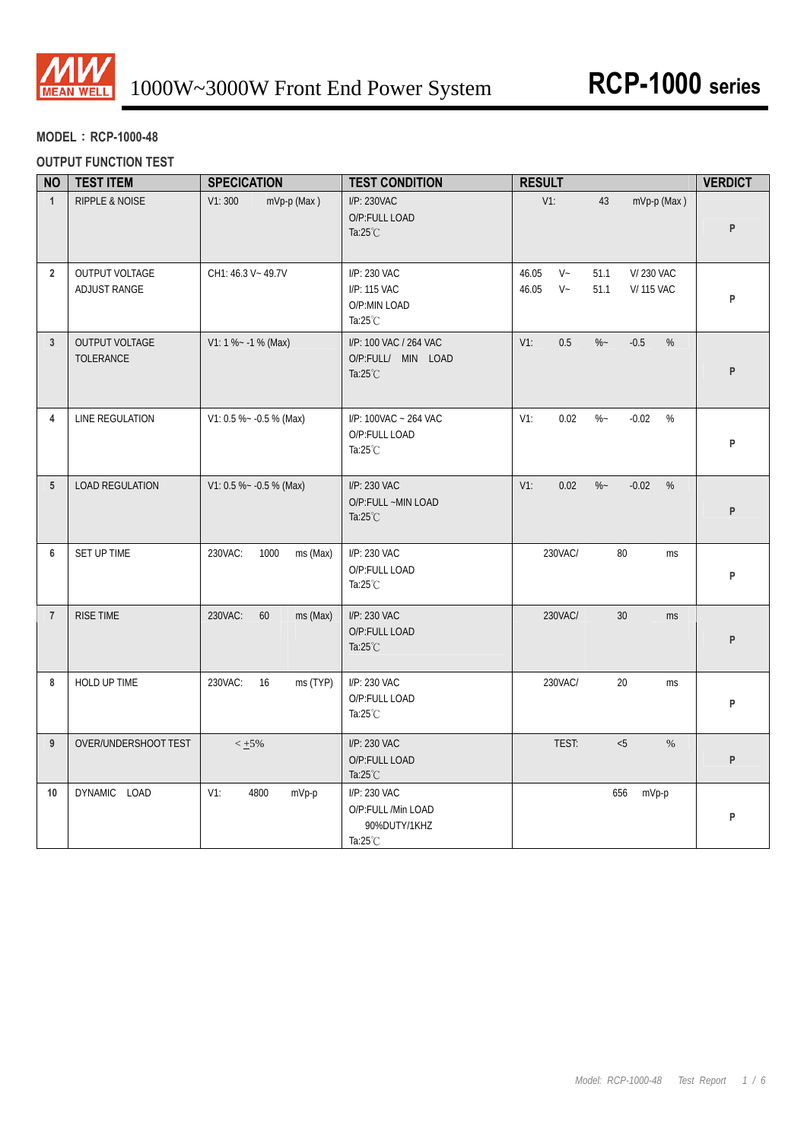

## **MODEL**:**RCP-1000-48**

## **OUTPUT FUNCTION TEST**

| <b>NO</b>       | <b>TEST ITEM</b>               | <b>SPECICATION</b>          | <b>TEST CONDITION</b>                                                    | <b>RESULT</b>                                                                            | <b>VERDICT</b> |
|-----------------|--------------------------------|-----------------------------|--------------------------------------------------------------------------|------------------------------------------------------------------------------------------|----------------|
| $\mathbf{1}$    | RIPPLE & NOISE                 | V1:300<br>mVp-p (Max)       | I/P: 230VAC<br>O/P:FULL LOAD<br>Ta: $25^{\circ}$ C                       | $V1$ :<br>mVp-p (Max)<br>43                                                              | P              |
| $\overline{2}$  | OUTPUT VOLTAGE<br>ADJUST RANGE | CH1: 46.3 V ~ 49.7V         | I/P: 230 VAC<br>I/P: 115 VAC<br>O/P:MIN LOAD<br>Ta: $25^{\circ}$ C       | $V -$<br>46.05<br>51.1<br><b>V/230 VAC</b><br>$V -$<br>46.05<br>51.1<br><b>V/115 VAC</b> | P              |
| $\mathbf{3}$    | OUTPUT VOLTAGE<br>TOLERANCE    | $V1: 1 % ~ -1 % (Max)$      | I/P: 100 VAC / 264 VAC<br>O/P:FULL/ MIN LOAD<br>Ta: $25^{\circ}$ C       | $V1$ :<br>0.5<br>$\%$ ~<br>$-0.5$<br>%                                                   | P              |
| 4               | LINE REGULATION                | V1: 0.5 % ~ - 0.5 % (Max)   | I/P: 100VAC ~ 264 VAC<br>O/P:FULL LOAD<br>Ta: $25^{\circ}$ C             | 0.02<br>$\%$ ~<br>$-0.02$<br>%<br>$V1$ :                                                 | P              |
| $5\phantom{.0}$ | <b>LOAD REGULATION</b>         | V1: 0.5 % ~ - 0.5 % (Max)   | I/P: 230 VAC<br>O/P:FULL ~MIN LOAD<br>Ta: $25^{\circ}$ C                 | $V1$ :<br>0.02<br>$\%$ ~<br>$-0.02$<br>%                                                 | P              |
| 6               | SET UP TIME                    | ms (Max)<br>230VAC:<br>1000 | I/P: 230 VAC<br>O/P:FULL LOAD<br>Ta: $25^{\circ}$ C                      | 230VAC/<br>80<br>ms                                                                      | P              |
| $\overline{7}$  | <b>RISE TIME</b>               | 60<br>230VAC:<br>ms (Max)   | I/P: 230 VAC<br>O/P:FULL LOAD<br>Ta: $25^{\circ}$ C                      | 230VAC/<br>30<br><b>ms</b>                                                               | P              |
| 8               | HOLD UP TIME                   | 230VAC:<br>16<br>ms (TYP)   | I/P: 230 VAC<br>O/P:FULL LOAD<br>Ta: $25^{\circ}$ C                      | 230VAC/<br>20<br>ms                                                                      | P              |
| 9               | OVER/UNDERSHOOT TEST           | $< +5\%$                    | I/P: 230 VAC<br>O/P:FULL LOAD<br>Ta: $25^{\circ}$ C                      | TEST:<br>< 5<br>$\%$                                                                     | P              |
| 10              | DYNAMIC LOAD                   | $V1$ :<br>4800<br>mVp-p     | I/P: 230 VAC<br>O/P:FULL /Min LOAD<br>90%DUTY/1KHZ<br>Ta: $25^{\circ}$ C | 656<br>mVp-p                                                                             | P              |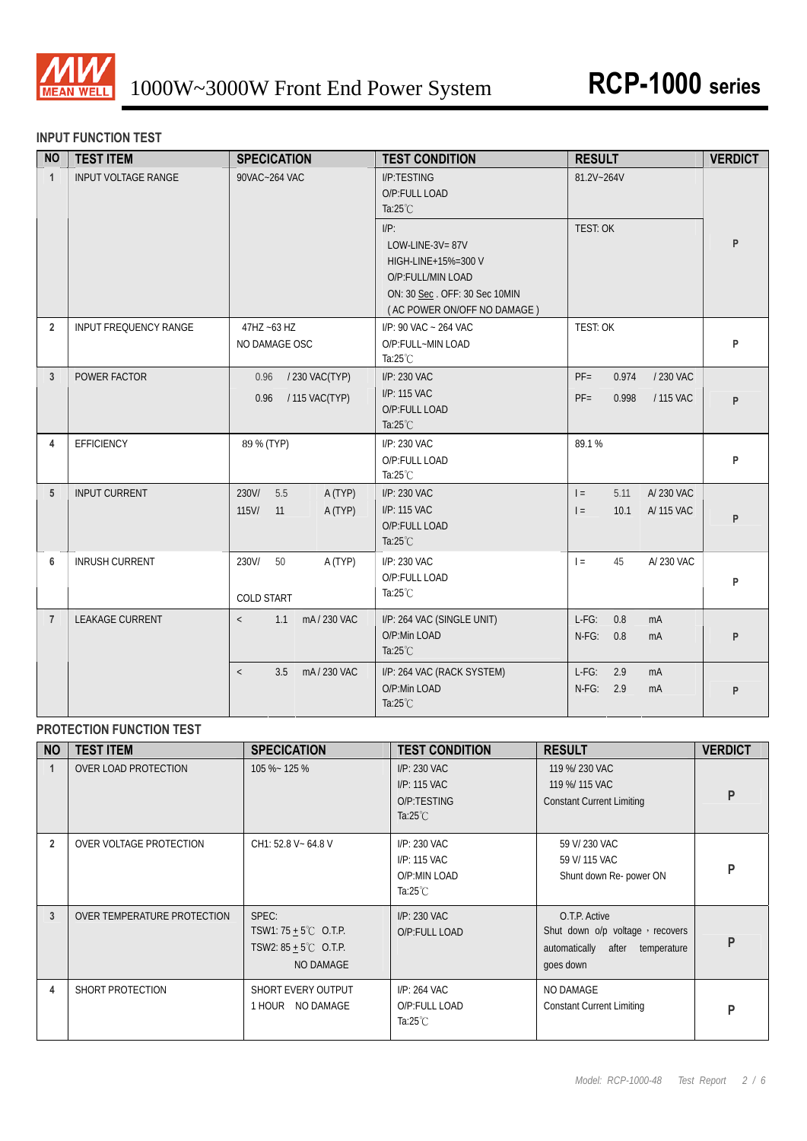

## **INPUT FUNCTION TEST**

| <b>NO</b>      | <b>TEST ITEM</b>           | <b>SPECICATION</b>                                | <b>TEST CONDITION</b>                                                                                                        | <b>RESULT</b>                                                | <b>VERDICT</b> |
|----------------|----------------------------|---------------------------------------------------|------------------------------------------------------------------------------------------------------------------------------|--------------------------------------------------------------|----------------|
| $\mathbf{1}$   | <b>INPUT VOLTAGE RANGE</b> | 90VAC~264 VAC                                     | I/P:TESTING<br>O/P:FULL LOAD<br>Ta: $25^{\circ}$ C<br>$I/P$ :<br>LOW-LINE-3V=87V<br>HIGH-LINE+15%=300 V<br>O/P:FULL/MIN LOAD | 81.2V~264V<br>TEST: OK                                       | P              |
|                |                            |                                                   | ON: 30 Sec. OFF: 30 Sec 10MIN<br>(AC POWER ON/OFF NO DAMAGE)                                                                 |                                                              |                |
| $\overline{2}$ | INPUT FREQUENCY RANGE      | 47HZ ~63 HZ<br>NO DAMAGE OSC                      | I/P: 90 VAC ~ 264 VAC<br>O/P:FULL~MIN LOAD<br>Ta: $25^{\circ}$ C                                                             | TEST: OK                                                     | P              |
| $\mathbf{3}$   | POWER FACTOR               | / 230 VAC(TYP)<br>0.96<br>/ 115 VAC(TYP)<br>0.96  | I/P: 230 VAC<br>I/P: 115 VAC<br>O/P:FULL LOAD<br>Ta: $25^{\circ}$ C                                                          | $PF =$<br>0.974<br>/ 230 VAC<br>$PF =$<br>0.998<br>/ 115 VAC | P              |
| 4              | EFFICIENCY                 | 89 % (TYP)                                        | I/P: 230 VAC<br>O/P:FULL LOAD<br>Ta: $25^{\circ}$ C                                                                          | 89.1%                                                        | P              |
| 5              | <b>INPUT CURRENT</b>       | 230V/<br>5.5<br>A (TYP)<br>115V/<br>11<br>A (TYP) | I/P: 230 VAC<br>I/P: 115 VAC<br>O/P:FULL LOAD<br>Ta: $25^{\circ}$ C                                                          | A/230 VAC<br>$=$<br>5.11<br>A/ 115 VAC<br>$\vert$ =<br>10.1  | P              |
| 6              | <b>INRUSH CURRENT</b>      | 230V/<br>50<br>A (TYP)<br><b>COLD START</b>       | I/P: 230 VAC<br>O/P:FULL LOAD<br>Ta: $25^{\circ}$ C                                                                          | 45<br>A/ 230 VAC<br>$=$                                      | P              |
| $\overline{7}$ | <b>LEAKAGE CURRENT</b>     | mA/230 VAC<br>1.1<br>$\langle$                    | I/P: 264 VAC (SINGLE UNIT)<br>O/P:Min LOAD<br>Ta: $25^{\circ}$ C                                                             | $L-FG$ :<br>0.8<br>mA<br>$N-FG$ :<br>0.8<br>mA               | P              |
|                |                            | mA/230 VAC<br>3.5<br>$\langle$                    | I/P: 264 VAC (RACK SYSTEM)<br>O/P:Min LOAD<br>Ta: $25^{\circ}$ C                                                             | $L-FG$ :<br>2.9<br>mA<br>$N-FG$ :<br>2.9<br>mA               | P              |

## **PROTECTION FUNCTION TEST**

| <b>NO</b>      | <b>TEST ITEM</b>            | <b>SPECICATION</b>                                                                       | <b>TEST CONDITION</b>                                              | <b>RESULT</b>                                                                                       | <b>VERDICT</b> |
|----------------|-----------------------------|------------------------------------------------------------------------------------------|--------------------------------------------------------------------|-----------------------------------------------------------------------------------------------------|----------------|
|                | OVER LOAD PROTECTION        | 105 %~ 125 %                                                                             | I/P: 230 VAC<br>I/P: 115 VAC<br>O/P:TESTING<br>Ta: $25^{\circ}$ C  | 119 %/ 230 VAC<br>119 %/ 115 VAC<br><b>Constant Current Limiting</b>                                | P              |
| $\overline{2}$ | OVER VOLTAGE PROTECTION     | CH1: 52.8 V ~ 64.8 V                                                                     | I/P: 230 VAC<br>I/P: 115 VAC<br>O/P:MIN LOAD<br>Ta: $25^{\circ}$ C | 59 V/ 230 VAC<br>59 V/ 115 VAC<br>Shunt down Re- power ON                                           | P              |
| 3              | OVER TEMPERATURE PROTECTION | SPEC:<br>TSW1: $75 + 5^{\circ}$ C O.T.P.<br>TSW2: $85 + 5^{\circ}$ C O.T.P.<br>NO DAMAGE | I/P: 230 VAC<br>O/P:FULL LOAD                                      | O.T.P. Active<br>Shut down o/p voltage, recovers<br>automatically after<br>temperature<br>goes down | P              |
| 4              | SHORT PROTECTION            | SHORT EVERY OUTPUT<br>1 HOUR NO DAMAGE                                                   | I/P: 264 VAC<br>O/P:FULL LOAD<br>Ta: $25^{\circ}$ C                | NO DAMAGE<br><b>Constant Current Limiting</b>                                                       | P              |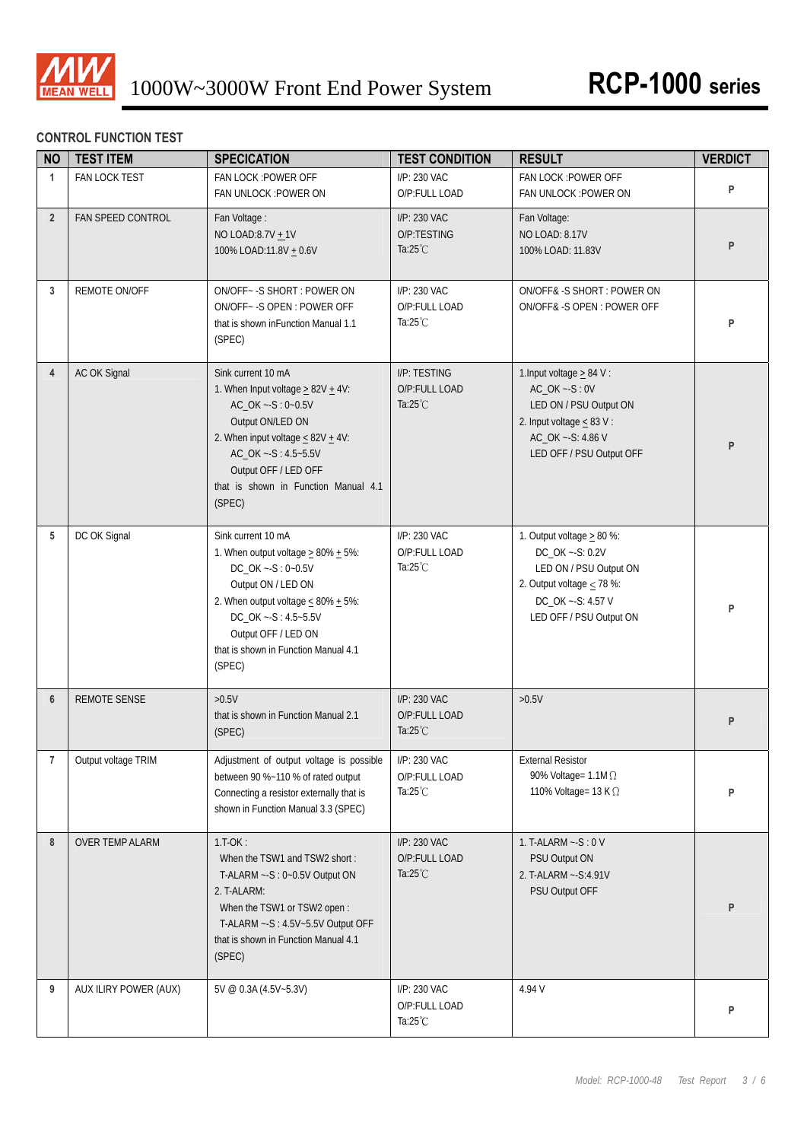

## **CONTROL FUNCTION TEST**

| <b>NO</b>      | <b>TEST ITEM</b>       | <b>SPECICATION</b>                                                                                                                                                                                                                                           | <b>TEST CONDITION</b>                               | <b>RESULT</b>                                                                                                                                                   | <b>VERDICT</b> |
|----------------|------------------------|--------------------------------------------------------------------------------------------------------------------------------------------------------------------------------------------------------------------------------------------------------------|-----------------------------------------------------|-----------------------------------------------------------------------------------------------------------------------------------------------------------------|----------------|
| $\mathbf{1}$   | FAN LOCK TEST          | FAN LOCK : POWER OFF<br>FAN UNLOCK : POWER ON                                                                                                                                                                                                                | I/P: 230 VAC<br>O/P:FULL LOAD                       | FAN LOCK : POWER OFF<br>FAN UNLOCK : POWER ON                                                                                                                   | P              |
| $2^{\circ}$    | FAN SPEED CONTROL      | Fan Voltage:<br>NO LOAD:8.7V + 1V<br>100% LOAD:11.8V + 0.6V                                                                                                                                                                                                  | I/P: 230 VAC<br>O/P:TESTING<br>Ta: $25^{\circ}$ C   | Fan Voltage:<br>NO LOAD: 8.17V<br>100% LOAD: 11.83V                                                                                                             | P              |
| 3              | REMOTE ON/OFF          | ON/OFF~ - S SHORT : POWER ON<br>ON/OFF~-S OPEN: POWER OFF<br>that is shown in Function Manual 1.1<br>(SPEC)                                                                                                                                                  | I/P: 230 VAC<br>O/P:FULL LOAD<br>Ta: $25^{\circ}$ C | ON/OFF&-S SHORT: POWER ON<br>ON/OFF& -S OPEN : POWER OFF                                                                                                        | P              |
| $\overline{4}$ | AC OK Signal           | Sink current 10 mA<br>1. When Input voltage $\geq$ 82V $\pm$ 4V:<br>AC_OK ~- S: 0~0.5V<br>Output ON/LED ON<br>2. When input voltage $\leq 82V + 4V$ :<br>AC_OK ~- S: 4.5~5.5V<br>Output OFF / LED OFF<br>that is shown in Function Manual 4.1<br>(SPEC)      | I/P: TESTING<br>O/P:FULL LOAD<br>Ta: $25^{\circ}$ C | 1. Input voltage $\geq 84$ V :<br>$AC_OK -S: 0V$<br>LED ON / PSU Output ON<br>2. Input voltage $\leq$ 83 V :<br>AC_OK ~- S: 4.86 V<br>LED OFF / PSU Output OFF  | P              |
| 5              | DC OK Signal           | Sink current 10 mA<br>1. When output voltage $\geq$ 80% $\pm$ 5%:<br>DC_OK ~- S: 0~0.5V<br>Output ON / LED ON<br>2. When output voltage $\leq 80\% + 5\%$ :<br>DC_OK ~- S: 4.5~5.5V<br>Output OFF / LED ON<br>that is shown in Function Manual 4.1<br>(SPEC) | I/P: 230 VAC<br>O/P:FULL LOAD<br>Ta: $25^{\circ}$ C | 1. Output voltage $\geq 80$ %:<br>DC_OK ~- S: 0.2V<br>LED ON / PSU Output ON<br>2. Output voltage $\leq$ 78 %:<br>DC_OK ~- S: 4.57 V<br>LED OFF / PSU Output ON | P              |
| 6              | <b>REMOTE SENSE</b>    | >0.5V<br>that is shown in Function Manual 2.1<br>(SPEC)                                                                                                                                                                                                      | I/P: 230 VAC<br>O/P:FULL LOAD<br>Ta: $25^{\circ}$ C | $>0.5V$                                                                                                                                                         | P              |
| $\overline{7}$ | Output voltage TRIM    | Adjustment of output voltage is possible<br>between 90 %~110 % of rated output<br>Connecting a resistor externally that is<br>shown in Function Manual 3.3 (SPEC)                                                                                            | I/P: 230 VAC<br>O/P:FULL LOAD<br>Ta: $25^{\circ}$ C | <b>External Resistor</b><br>90% Voltage= $1.1M\Omega$<br>110% Voltage= 13 K $\Omega$                                                                            | P              |
| 8              | <b>OVER TEMP ALARM</b> | $1.T-OK:$<br>When the TSW1 and TSW2 short:<br>T-ALARM ~- S: 0~0.5V Output ON<br>2. T-ALARM:<br>When the TSW1 or TSW2 open:<br>T-ALARM ~- S: 4.5V~5.5V Output OFF<br>that is shown in Function Manual 4.1<br>(SPEC)                                           | I/P: 230 VAC<br>O/P:FULL LOAD<br>Ta: $25^{\circ}$ C | 1. T-ALARM $\sim$ -S: 0 V<br>PSU Output ON<br>2. T-ALARM ~- S: 4.91V<br>PSU Output OFF                                                                          | P              |
| 9              | AUX ILIRY POWER (AUX)  | 5V @ 0.3A (4.5V~5.3V)                                                                                                                                                                                                                                        | I/P: 230 VAC<br>O/P:FULL LOAD<br>Ta: $25^{\circ}$ C | 4.94 V                                                                                                                                                          | P              |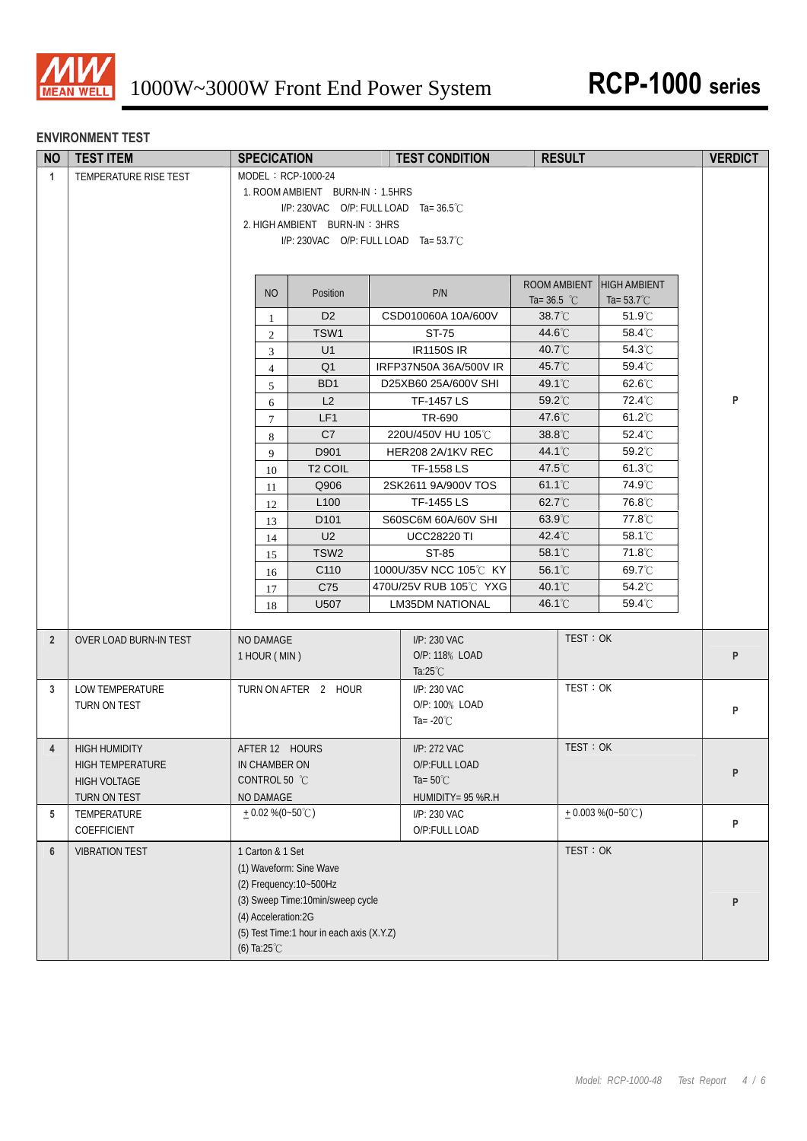

## **ENVIRONMENT TEST**

| <b>NO</b>      | <b>TEST ITEM</b>                                                         | <b>SPECICATION</b>                                                                                                                                                                                       |  | <b>TEST CONDITION</b>                                                    | <b>RESULT</b>                 |                                             | <b>VERDICT</b> |
|----------------|--------------------------------------------------------------------------|----------------------------------------------------------------------------------------------------------------------------------------------------------------------------------------------------------|--|--------------------------------------------------------------------------|-------------------------------|---------------------------------------------|----------------|
| $\mathbf{1}$   | TEMPERATURE RISE TEST                                                    | MODEL: RCP-1000-24<br>1. ROOM AMBIENT BURN-IN: 1.5HRS<br>I/P: 230VAC O/P: FULL LOAD Ta=36.5°C<br>2. HIGH AMBIENT BURN-IN: 3HRS<br>I/P: 230VAC O/P: FULL LOAD Ta= 53.7°C                                  |  |                                                                          |                               |                                             |                |
|                |                                                                          | <b>NO</b><br>Position                                                                                                                                                                                    |  | P/N                                                                      | ROOM AMBIENT<br>Ta= $36.5$ °C | <b>HIGH AMBIENT</b><br>Ta= $53.7^{\circ}$ C |                |
|                |                                                                          | D <sub>2</sub><br>$\mathbf{1}$                                                                                                                                                                           |  | CSD010060A 10A/600V                                                      | 38.7°C                        | 51.9°C                                      |                |
|                |                                                                          | TSW1<br>$\overline{c}$                                                                                                                                                                                   |  | ST-75                                                                    | 44.6°C                        | 58.4°C                                      |                |
|                |                                                                          | U1<br>3                                                                                                                                                                                                  |  | <b>IR1150S IR</b>                                                        | 40.7°C                        | 54.3°C                                      |                |
|                |                                                                          | Q <sub>1</sub><br>$\overline{4}$                                                                                                                                                                         |  | IRFP37N50A 36A/500V IR                                                   | 45.7°C                        | 59.4°C                                      |                |
|                |                                                                          | BD <sub>1</sub><br>5                                                                                                                                                                                     |  | D25XB60 25A/600V SHI                                                     | 49.1°C                        | 62.6°C                                      |                |
|                |                                                                          | L2<br>6                                                                                                                                                                                                  |  | TF-1457 LS                                                               | 59.2°C                        | 72.4°C                                      | P              |
|                |                                                                          | LF1<br>$\tau$                                                                                                                                                                                            |  | TR-690                                                                   | 47.6°C                        | 61.2°C                                      |                |
|                |                                                                          | C7<br>8                                                                                                                                                                                                  |  | 220U/450V HU 105℃                                                        | 38.8°C                        | 52.4°C                                      |                |
|                |                                                                          | D901<br>9                                                                                                                                                                                                |  | HER208 2A/1KV REC                                                        | 44.1°C                        | 59.2°C                                      |                |
|                |                                                                          | T <sub>2</sub> COIL<br>10                                                                                                                                                                                |  | TF-1558 LS                                                               | 47.5°C                        | $61.3^{\circ}$ C                            |                |
|                |                                                                          | Q906<br>11                                                                                                                                                                                               |  | 2SK2611 9A/900V TOS                                                      | 61.1°C                        | 74.9°C                                      |                |
|                |                                                                          | L <sub>100</sub><br>12                                                                                                                                                                                   |  | TF-1455 LS                                                               | 62.7°C                        | 76.8°C                                      |                |
|                |                                                                          | D <sub>101</sub><br>13                                                                                                                                                                                   |  | S60SC6M 60A/60V SHI                                                      | 63.9°C                        | 77.8°C                                      |                |
|                |                                                                          | U <sub>2</sub><br>14<br>TSW <sub>2</sub>                                                                                                                                                                 |  | <b>UCC28220 TI</b>                                                       | 42.4°C<br>58.1°C              | 58.1°C<br>71.8°C                            |                |
|                |                                                                          | 15<br>C110                                                                                                                                                                                               |  | ST-85<br>1000U/35V NCC 105°C KY                                          | 56.1°C                        | 69.7°C                                      |                |
|                |                                                                          | 16<br>C75                                                                                                                                                                                                |  | 470U/25V RUB 105℃ YXG                                                    | 40.1°C                        | 54.2°C                                      |                |
|                |                                                                          | 17<br>U507<br>18                                                                                                                                                                                         |  | <b>LM35DM NATIONAL</b>                                                   | 46.1°C                        | 59.4°C                                      |                |
|                |                                                                          |                                                                                                                                                                                                          |  |                                                                          |                               |                                             |                |
| $\overline{2}$ | OVER LOAD BURN-IN TEST                                                   | NO DAMAGE<br>1 HOUR (MIN)                                                                                                                                                                                |  | I/P: 230 VAC<br>O/P: 118% LOAD<br>Ta: $25^{\circ}$ C                     | TEST: OK                      |                                             | P              |
| 3              | LOW TEMPERATURE<br>TURN ON TEST                                          | TURN ON AFTER 2 HOUR                                                                                                                                                                                     |  | I/P: 230 VAC<br>O/P: 100% LOAD<br>Ta= $-20^{\circ}$ C                    | TEST: OK                      |                                             | P              |
| $\overline{4}$ | <b>HIGH HUMIDITY</b><br>HIGH TEMPERATURE<br>HIGH VOLTAGE<br>TURN ON TEST | AFTER 12 HOURS<br>IN CHAMBER ON<br>CONTROL 50 °C<br>NO DAMAGE                                                                                                                                            |  | I/P: 272 VAC<br>O/P:FULL LOAD<br>Ta= $50^{\circ}$ C<br>HUMIDITY= 95 %R.H | TEST: OK                      |                                             | P              |
| 5              | TEMPERATURE<br>COEFFICIENT                                               | $+0.02\%$ (0~50°C)                                                                                                                                                                                       |  | I/P: 230 VAC<br>O/P:FULL LOAD                                            |                               | $+0.003\%$ (0~50°C)                         | P              |
| 6              | <b>VIBRATION TEST</b>                                                    | 1 Carton & 1 Set<br>(1) Waveform: Sine Wave<br>(2) Frequency: 10~500Hz<br>(3) Sweep Time:10min/sweep cycle<br>(4) Acceleration:2G<br>(5) Test Time:1 hour in each axis (X.Y.Z)<br>(6) Ta: $25^{\circ}$ C |  |                                                                          | TEST: OK                      |                                             | P              |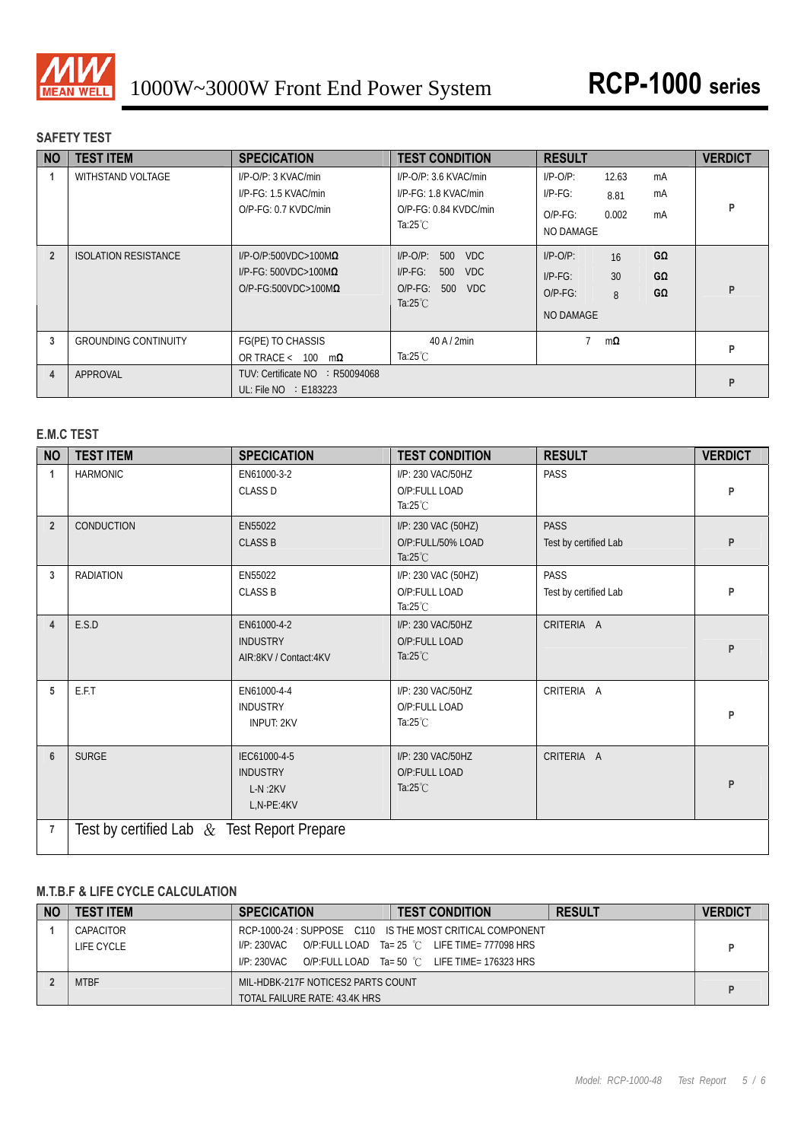

## **SAFETY TEST**

| <b>NO</b>      | <b>TEST ITEM</b>            | <b>SPECICATION</b>                                                                             | <b>TEST CONDITION</b>                                                                                        | <b>RESULT</b>                                                                                   | <b>VERDICT</b> |
|----------------|-----------------------------|------------------------------------------------------------------------------------------------|--------------------------------------------------------------------------------------------------------------|-------------------------------------------------------------------------------------------------|----------------|
|                | WITHSTAND VOLTAGE           | $I/P$ -O/P: 3 KVAC/min<br>I/P-FG: 1.5 KVAC/min<br>$O/P-FG: 0.7$ KVDC/min                       | $I/P$ -O/P: 3.6 KVAC/min<br>I/P-FG: 1.8 KVAC/min<br>$O/P-FG: 0.84$ KVDC/min<br>Ta: $25^{\circ}$ C            | $I/P-O/P$ :<br>12.63<br>mA<br>$IP-FG$ :<br>mA<br>8.81<br>0.002<br>$O/P-FG$ :<br>mA<br>NO DAMAGE | P              |
| $\overline{2}$ | <b>ISOLATION RESISTANCE</b> | $I/P$ -O/P:500VDC>100M $\Omega$<br>$I/P-FG: 500VDC > 100M\Omega$<br>$O/P-FG:500VDC>100M\Omega$ | $I/P$ -O/P:<br>500<br><b>VDC</b><br>$I/P-FG$ :<br>500<br>VDC.<br>$O/P-FG$ :<br>500 VDC<br>Ta: $25^{\circ}$ C | GΩ<br>$I/P$ -O/P:<br>16<br>30<br>GΩ<br>$I/P-FG$ :<br>GΩ<br>$O/P-FG$ :<br>8<br><b>NO DAMAGE</b>  | P              |
| 3              | <b>GROUNDING CONTINUITY</b> | FG(PE) TO CHASSIS<br>OR TRACE < 100<br>$m\Omega$                                               | $40$ A $/$ 2min<br>Ta: $25^{\circ}$ C                                                                        | $m\Omega$                                                                                       | P              |
| 4              | APPROVAL                    | TUV: Certificate NO : R50094068<br>UL: File $NO \div E183223$                                  |                                                                                                              |                                                                                                 | P              |

## **E.M.C TEST**

| <b>NO</b>      | <b>TEST ITEM</b>                              | <b>SPECICATION</b>                                         | <b>TEST CONDITION</b>                                          | <b>RESULT</b>                        | <b>VERDICT</b> |  |  |
|----------------|-----------------------------------------------|------------------------------------------------------------|----------------------------------------------------------------|--------------------------------------|----------------|--|--|
|                | <b>HARMONIC</b>                               | EN61000-3-2<br><b>CLASS D</b>                              | I/P: 230 VAC/50HZ<br>O/P:FULL LOAD<br>Ta: $25^{\circ}$ C       | <b>PASS</b>                          | P              |  |  |
| $\overline{2}$ | CONDUCTION                                    | EN55022<br><b>CLASS B</b>                                  | I/P: 230 VAC (50HZ)<br>O/P:FULL/50% LOAD<br>Ta: $25^{\circ}$ C | <b>PASS</b><br>Test by certified Lab | P              |  |  |
| 3              | <b>RADIATION</b>                              | EN55022<br><b>CLASS B</b>                                  | I/P: 230 VAC (50HZ)<br>O/P:FULL LOAD<br>Ta: $25^{\circ}$ C     | <b>PASS</b><br>Test by certified Lab | P              |  |  |
| 4              | E.S.D                                         | EN61000-4-2<br><b>INDUSTRY</b><br>AIR:8KV / Contact:4KV    | I/P: 230 VAC/50HZ<br>O/P:FULL LOAD<br>Ta: $25^{\circ}$ C       | CRITERIA A                           | P              |  |  |
| 5              | E.F.T                                         | EN61000-4-4<br><b>INDUSTRY</b><br><b>INPUT: 2KV</b>        | I/P: 230 VAC/50HZ<br>O/P:FULL LOAD<br>Ta: $25^{\circ}$ C       | CRITERIA A                           | P              |  |  |
| 6              | <b>SURGE</b>                                  | IEC61000-4-5<br><b>INDUSTRY</b><br>$L-N:2KV$<br>L,N-PE:4KV | I/P: 230 VAC/50HZ<br>O/P:FULL LOAD<br>Ta: $25^{\circ}$ C       | CRITERIA A                           | P              |  |  |
| 7              | Test by certified Lab $&$ Test Report Prepare |                                                            |                                                                |                                      |                |  |  |

## **M.T.B.F & LIFE CYCLE CALCULATION**

| <b>NO</b> | <b>TEST ITEM</b> | <b>SPECICATION</b>                 | <b>TEST CONDITION</b>                                     | <b>RESULT</b> | <b>VERDICT</b> |
|-----------|------------------|------------------------------------|-----------------------------------------------------------|---------------|----------------|
|           | CAPACITOR        |                                    | RCP-1000-24 : SUPPOSE C110 IS THE MOST CRITICAL COMPONENT |               |                |
|           | LIFE CYCLE       | I/P: 230VAC                        | O/P:FULL LOAD Ta= 25 °C LIFE TIME= 777098 HRS             |               |                |
|           |                  | I/P: 230VAC                        | O/P:FULL LOAD Ta= 50 °C LIFE TIME= 176323 HRS             |               |                |
|           | <b>MTBF</b>      | MIL-HDBK-217F NOTICES2 PARTS COUNT |                                                           |               |                |
|           |                  | TOTAL FAILURE RATE: 43.4K HRS      |                                                           |               |                |